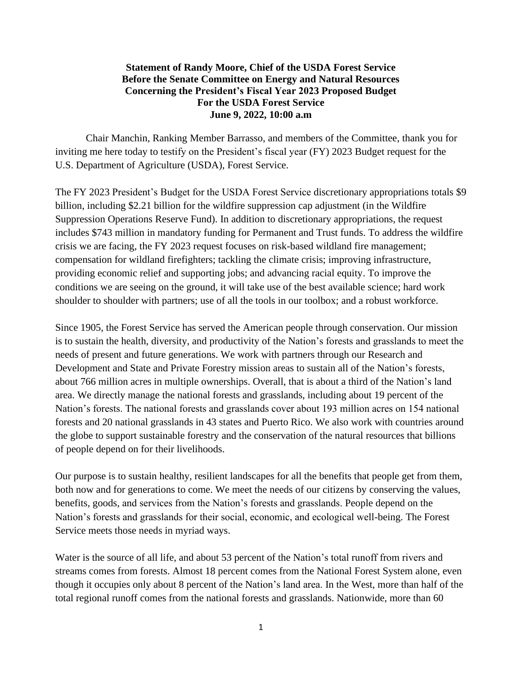## **Statement of Randy Moore, Chief of the USDA Forest Service Before the Senate Committee on Energy and Natural Resources Concerning the President's Fiscal Year 2023 Proposed Budget For the USDA Forest Service June 9, 2022, 10:00 a.m**

Chair Manchin, Ranking Member Barrasso, and members of the Committee, thank you for inviting me here today to testify on the President's fiscal year (FY) 2023 Budget request for the U.S. Department of Agriculture (USDA), Forest Service.

The FY 2023 President's Budget for the USDA Forest Service discretionary appropriations totals \$9 billion, including \$2.21 billion for the wildfire suppression cap adjustment (in the Wildfire Suppression Operations Reserve Fund). In addition to discretionary appropriations, the request includes \$743 million in mandatory funding for Permanent and Trust funds. To address the wildfire crisis we are facing, the FY 2023 request focuses on risk-based wildland fire management; compensation for wildland firefighters; tackling the climate crisis; improving infrastructure, providing economic relief and supporting jobs; and advancing racial equity. To improve the conditions we are seeing on the ground, it will take use of the best available science; hard work shoulder to shoulder with partners; use of all the tools in our toolbox; and a robust workforce.

Since 1905, the Forest Service has served the American people through conservation. Our mission is to sustain the health, diversity, and productivity of the Nation's forests and grasslands to meet the needs of present and future generations. We work with partners through our Research and Development and State and Private Forestry mission areas to sustain all of the Nation's forests, about 766 million acres in multiple ownerships. Overall, that is about a third of the Nation's land area. We directly manage the national forests and grasslands, including about 19 percent of the Nation's forests. The national forests and grasslands cover about 193 million acres on 154 national forests and 20 national grasslands in 43 states and Puerto Rico. We also work with countries around the globe to support sustainable forestry and the conservation of the natural resources that billions of people depend on for their livelihoods.

Our purpose is to sustain healthy, resilient landscapes for all the benefits that people get from them, both now and for generations to come. We meet the needs of our citizens by conserving the values, benefits, goods, and services from the Nation's forests and grasslands. People depend on the Nation's forests and grasslands for their social, economic, and ecological well-being. The Forest Service meets those needs in myriad ways.

Water is the source of all life, and about 53 percent of the Nation's total runoff from rivers and streams comes from forests. Almost 18 percent comes from the National Forest System alone, even though it occupies only about 8 percent of the Nation's land area. In the West, more than half of the total regional runoff comes from the national forests and grasslands. Nationwide, more than 60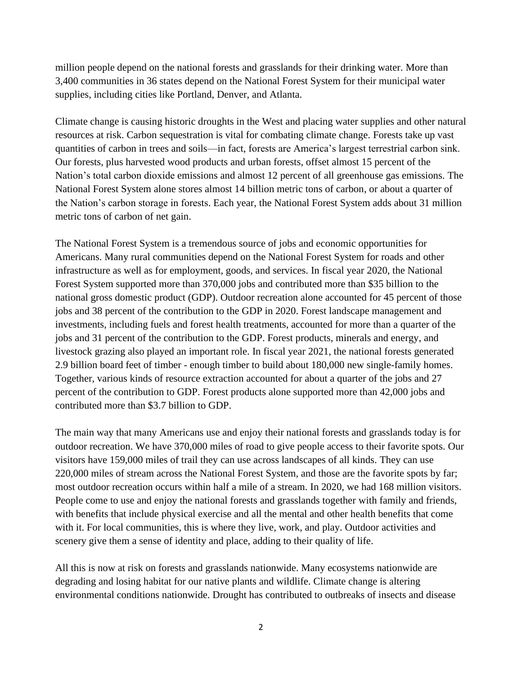million people depend on the national forests and grasslands for their drinking water. More than 3,400 communities in 36 states depend on the National Forest System for their municipal water supplies, including cities like Portland, Denver, and Atlanta.

Climate change is causing historic droughts in the West and placing water supplies and other natural resources at risk. Carbon sequestration is vital for combating climate change. Forests take up vast quantities of carbon in trees and soils—in fact, forests are America's largest terrestrial carbon sink. Our forests, plus harvested wood products and urban forests, offset almost 15 percent of the Nation's total carbon dioxide emissions and almost 12 percent of all greenhouse gas emissions. The National Forest System alone stores almost 14 billion metric tons of carbon, or about a quarter of the Nation's carbon storage in forests. Each year, the National Forest System adds about 31 million metric tons of carbon of net gain.

The National Forest System is a tremendous source of jobs and economic opportunities for Americans. Many rural communities depend on the National Forest System for roads and other infrastructure as well as for employment, goods, and services. In fiscal year 2020, the National Forest System supported more than 370,000 jobs and contributed more than \$35 billion to the national gross domestic product (GDP). Outdoor recreation alone accounted for 45 percent of those jobs and 38 percent of the contribution to the GDP in 2020. Forest landscape management and investments, including fuels and forest health treatments, accounted for more than a quarter of the jobs and 31 percent of the contribution to the GDP. Forest products, minerals and energy, and livestock grazing also played an important role. In fiscal year 2021, the national forests generated 2.9 billion board feet of timber - enough timber to build about 180,000 new single-family homes. Together, various kinds of resource extraction accounted for about a quarter of the jobs and 27 percent of the contribution to GDP. Forest products alone supported more than 42,000 jobs and contributed more than \$3.7 billion to GDP.

The main way that many Americans use and enjoy their national forests and grasslands today is for outdoor recreation. We have 370,000 miles of road to give people access to their favorite spots. Our visitors have 159,000 miles of trail they can use across landscapes of all kinds. They can use 220,000 miles of stream across the National Forest System, and those are the favorite spots by far; most outdoor recreation occurs within half a mile of a stream. In 2020, we had 168 million visitors. People come to use and enjoy the national forests and grasslands together with family and friends, with benefits that include physical exercise and all the mental and other health benefits that come with it. For local communities, this is where they live, work, and play. Outdoor activities and scenery give them a sense of identity and place, adding to their quality of life.

All this is now at risk on forests and grasslands nationwide. Many ecosystems nationwide are degrading and losing habitat for our native plants and wildlife. Climate change is altering environmental conditions nationwide. Drought has contributed to outbreaks of insects and disease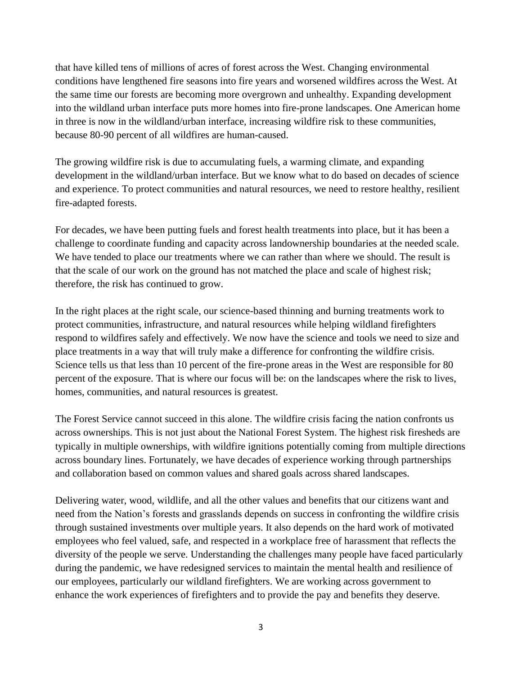that have killed tens of millions of acres of forest across the West. Changing environmental conditions have lengthened fire seasons into fire years and worsened wildfires across the West. At the same time our forests are becoming more overgrown and unhealthy. Expanding development into the wildland urban interface puts more homes into fire-prone landscapes. One American home in three is now in the wildland/urban interface, increasing wildfire risk to these communities, because 80-90 percent of all wildfires are human-caused.

The growing wildfire risk is due to accumulating fuels, a warming climate, and expanding development in the wildland/urban interface. But we know what to do based on decades of science and experience. To protect communities and natural resources, we need to restore healthy, resilient fire-adapted forests.

For decades, we have been putting fuels and forest health treatments into place, but it has been a challenge to coordinate funding and capacity across landownership boundaries at the needed scale. We have tended to place our treatments where we can rather than where we should. The result is that the scale of our work on the ground has not matched the place and scale of highest risk; therefore, the risk has continued to grow.

In the right places at the right scale, our science-based thinning and burning treatments work to protect communities, infrastructure, and natural resources while helping wildland firefighters respond to wildfires safely and effectively. We now have the science and tools we need to size and place treatments in a way that will truly make a difference for confronting the wildfire crisis. Science tells us that less than 10 percent of the fire-prone areas in the West are responsible for 80 percent of the exposure. That is where our focus will be: on the landscapes where the risk to lives, homes, communities, and natural resources is greatest.

The Forest Service cannot succeed in this alone. The wildfire crisis facing the nation confronts us across ownerships. This is not just about the National Forest System. The highest risk firesheds are typically in multiple ownerships, with wildfire ignitions potentially coming from multiple directions across boundary lines. Fortunately, we have decades of experience working through partnerships and collaboration based on common values and shared goals across shared landscapes.

Delivering water, wood, wildlife, and all the other values and benefits that our citizens want and need from the Nation's forests and grasslands depends on success in confronting the wildfire crisis through sustained investments over multiple years. It also depends on the hard work of motivated employees who feel valued, safe, and respected in a workplace free of harassment that reflects the diversity of the people we serve. Understanding the challenges many people have faced particularly during the pandemic, we have redesigned services to maintain the mental health and resilience of our employees, particularly our wildland firefighters. We are working across government to enhance the work experiences of firefighters and to provide the pay and benefits they deserve.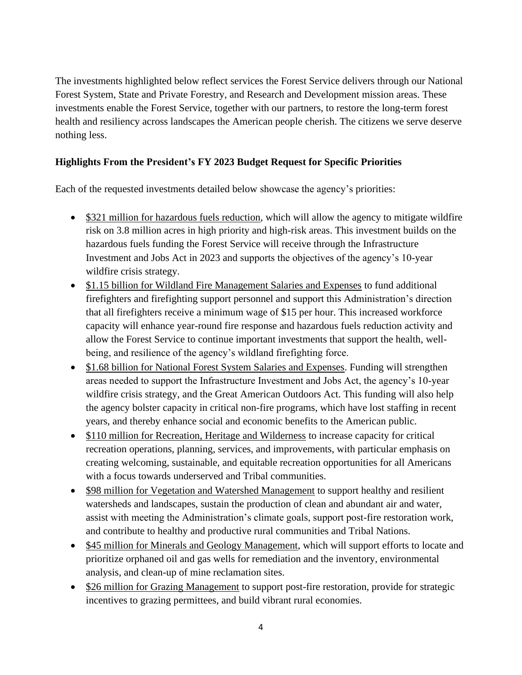The investments highlighted below reflect services the Forest Service delivers through our National Forest System, State and Private Forestry, and Research and Development mission areas. These investments enable the Forest Service, together with our partners, to restore the long-term forest health and resiliency across landscapes the American people cherish. The citizens we serve deserve nothing less.

## **Highlights From the President's FY 2023 Budget Request for Specific Priorities**

Each of the requested investments detailed below showcase the agency's priorities:

- \$321 million for hazardous fuels reduction, which will allow the agency to mitigate wildfire risk on 3.8 million acres in high priority and high-risk areas. This investment builds on the hazardous fuels funding the Forest Service will receive through the Infrastructure Investment and Jobs Act in 2023 and supports the objectives of the agency's 10-year wildfire crisis strategy.
- \$1.15 billion for Wildland Fire Management Salaries and Expenses to fund additional firefighters and firefighting support personnel and support this Administration's direction that all firefighters receive a minimum wage of \$15 per hour. This increased workforce capacity will enhance year-round fire response and hazardous fuels reduction activity and allow the Forest Service to continue important investments that support the health, wellbeing, and resilience of the agency's wildland firefighting force.
- \$1.68 billion for National Forest System Salaries and Expenses. Funding will strengthen areas needed to support the Infrastructure Investment and Jobs Act, the agency's 10-year wildfire crisis strategy, and the Great American Outdoors Act. This funding will also help the agency bolster capacity in critical non-fire programs, which have lost staffing in recent years, and thereby enhance social and economic benefits to the American public.
- \$110 million for Recreation, Heritage and Wilderness to increase capacity for critical recreation operations, planning, services, and improvements, with particular emphasis on creating welcoming, sustainable, and equitable recreation opportunities for all Americans with a focus towards underserved and Tribal communities.
- \$98 million for Vegetation and Watershed Management to support healthy and resilient watersheds and landscapes, sustain the production of clean and abundant air and water, assist with meeting the Administration's climate goals, support post-fire restoration work, and contribute to healthy and productive rural communities and Tribal Nations.
- \$45 million for Minerals and Geology Management, which will support efforts to locate and prioritize orphaned oil and gas wells for remediation and the inventory, environmental analysis, and clean-up of mine reclamation sites.
- \$26 million for Grazing Management to support post-fire restoration, provide for strategic incentives to grazing permittees, and build vibrant rural economies.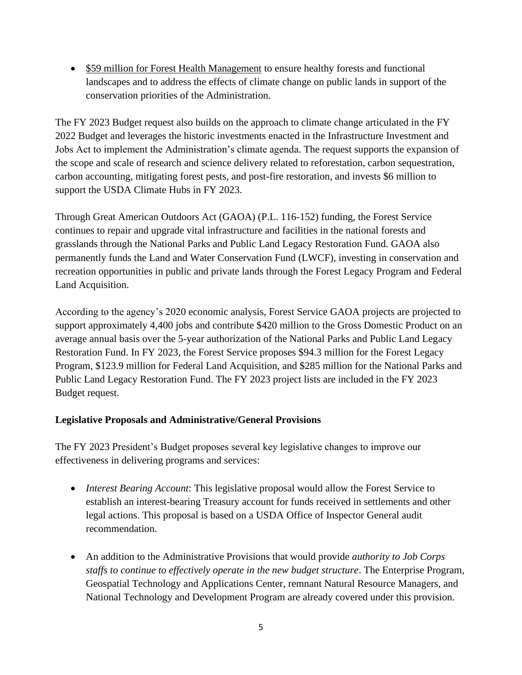• \$59 million for Forest Health Management to ensure healthy forests and functional landscapes and to address the effects of climate change on public lands in support of the conservation priorities of the Administration.

The FY 2023 Budget request also builds on the approach to climate change articulated in the FY 2022 Budget and leverages the historic investments enacted in the Infrastructure Investment and Jobs Act to implement the Administration's climate agenda. The request supports the expansion of the scope and scale of research and science delivery related to reforestation, carbon sequestration, carbon accounting, mitigating forest pests, and post-fire restoration, and invests \$6 million to support the USDA Climate Hubs in FY 2023.

Through Great American Outdoors Act (GAOA) (P.L. 116-152) funding, the Forest Service continues to repair and upgrade vital infrastructure and facilities in the national forests and grasslands through the National Parks and Public Land Legacy Restoration Fund. GAOA also permanently funds the Land and Water Conservation Fund (LWCF), investing in conservation and recreation opportunities in public and private lands through the Forest Legacy Program and Federal Land Acquisition.

According to the agency's 2020 economic analysis, Forest Service GAOA projects are projected to support approximately 4,400 jobs and contribute \$420 million to the Gross Domestic Product on an average annual basis over the 5-year authorization of the National Parks and Public Land Legacy Restoration Fund. In FY 2023, the Forest Service proposes \$94.3 million for the Forest Legacy Program, \$123.9 million for Federal Land Acquisition, and \$285 million for the National Parks and Public Land Legacy Restoration Fund. The FY 2023 project lists are included in the FY 2023 Budget request.

## **Legislative Proposals and Administrative/General Provisions**

The FY 2023 President's Budget proposes several key legislative changes to improve our effectiveness in delivering programs and services:

- *Interest Bearing Account*: This legislative proposal would allow the Forest Service to establish an interest-bearing Treasury account for funds received in settlements and other legal actions. This proposal is based on a USDA Office of Inspector General audit recommendation.
- An addition to the Administrative Provisions that would provide *authority to Job Corps staffs to continue to effectively operate in the new budget structure*. The Enterprise Program, Geospatial Technology and Applications Center, remnant Natural Resource Managers, and National Technology and Development Program are already covered under this provision.